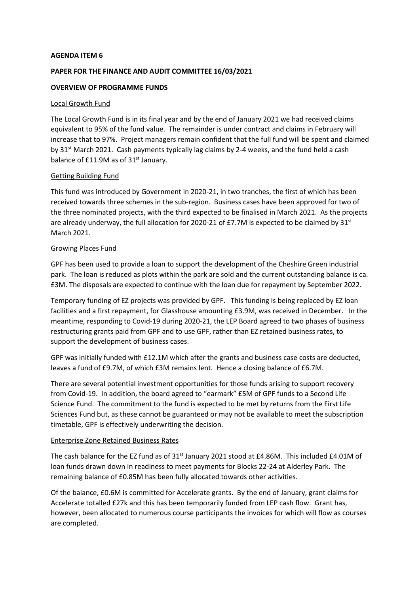#### **AGENDA ITEM 6**

# **PAPER FOR THE FINANCE AND AUDIT COMMITTEE 16/03/2021**

### **OVERVIEW OF PROGRAMME FUNDS**

#### Local Growth Fund

The Local Growth Fund is in its final year and by the end of January 2021 we had received claims equivalent to 95% of the fund value. The remainder is under contract and claims in February will increase that to 97%. Project managers remain confident that the full fund will be spent and claimed by 31<sup>st</sup> March 2021. Cash payments typically lag claims by 2-4 weeks, and the fund held a cash balance of £11.9M as of 31<sup>st</sup> January.

## Getting Building Fund

This fund was introduced by Government in 2020-21, in two tranches, the first of which has been received towards three schemes in the sub-region. Business cases have been approved for two of the three nominated projects, with the third expected to be finalised in March 2021. As the projects are already underway, the full allocation for 2020-21 of £7.7M is expected to be claimed by  $31<sup>st</sup>$ March 2021.

## Growing Places Fund

GPF has been used to provide a loan to support the development of the Cheshire Green industrial park. The loan is reduced as plots within the park are sold and the current outstanding balance is ca. £3M. The disposals are expected to continue with the loan due for repayment by September 2022.

Temporary funding of EZ projects was provided by GPF. This funding is being replaced by EZ loan facilities and a first repayment, for Glasshouse amounting £3.9M, was received in December. In the meantime, responding to Covid-19 during 2020-21, the LEP Board agreed to two phases of business restructuring grants paid from GPF and to use GPF, rather than EZ retained business rates, to support the development of business cases.

GPF was initially funded with £12.1M which after the grants and business case costs are deducted, leaves a fund of £9.7M, of which £3M remains lent. Hence a closing balance of £6.7M.

There are several potential investment opportunities for those funds arising to support recovery from Covid-19. In addition, the board agreed to "earmark" £5M of GPF funds to a Second Life Science Fund. The commitment to the fund is expected to be met by returns from the First Life Sciences Fund but, as these cannot be guaranteed or may not be available to meet the subscription timetable, GPF is effectively underwriting the decision.

#### Enterprise Zone Retained Business Rates

The cash balance for the EZ fund as of  $31^{st}$  January 2021 stood at £4.86M. This included £4.01M of loan funds drawn down in readiness to meet payments for Blocks 22-24 at Alderley Park. The remaining balance of £0.85M has been fully allocated towards other activities.

Of the balance, £0.6M is committed for Accelerate grants. By the end of January, grant claims for Accelerate totalled £27k and this has been temporarily funded from LEP cash flow. Grant has, however, been allocated to numerous course participants the invoices for which will flow as courses are completed.